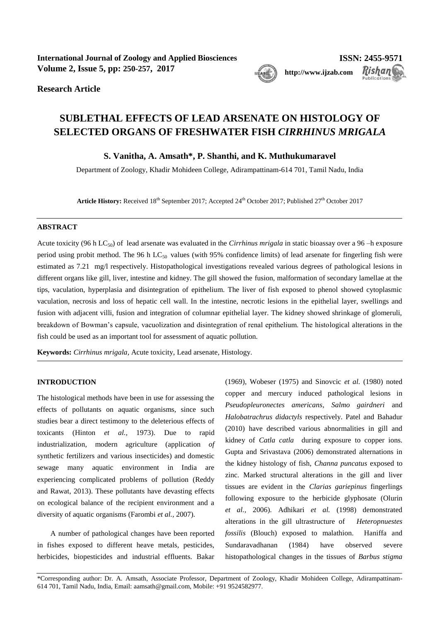**International Journal of Zoology and Applied Biosciences ISSN: 2455-9571 Volume 2, Issue 5, pp: 250-257, 2017 [http://www.ijzab.com](http://www.ijzab.co/#m)**



Rishan

**Research Article**

# **SUBLETHAL EFFECTS OF LEAD ARSENATE ON HISTOLOGY OF SELECTED ORGANS OF FRESHWATER FISH** *CIRRHINUS MRIGALA*

**S. Vanitha, A. Amsath\*, P. Shanthi, and K. Muthukumaravel**

Department of Zoology, Khadir Mohideen College, Adirampattinam-614 701, Tamil Nadu, India

**Article History:** Received 18th September 2017; Accepted 24th October 2017; Published 27th October 2017

## **ABSTRACT**

Acute toxicity (96 h LC<sub>50</sub>) of lead arsenate was evaluated in the *Cirrhinus mrigala* in static bioassay over a 96 –h exposure period using probit method. The 96 h LC<sub>50</sub> values (with 95% confidence limits) of lead arsenate for fingerling fish were estimated as 7.21 mg/l respectively. Histopathological investigations revealed various degrees of pathological lesions in different organs like gill, liver, intestine and kidney. The gill showed the fusion, malformation of secondary lamellae at the tips, vaculation, hyperplasia and disintegration of epithelium. The liver of fish exposed to phenol showed cytoplasmic vaculation, necrosis and loss of hepatic cell wall. In the intestine, necrotic lesions in the epithelial layer, swellings and fusion with adjacent villi, fusion and integration of columnar epithelial layer. The kidney showed shrinkage of glomeruli, breakdown of Bowman's capsule, vacuolization and disintegration of renal epithelium. The histological alterations in the fish could be used as an important tool for assessment of aquatic pollution.

**Keywords:** *Cirrhinus mrigala,* Acute toxicity, Lead arsenate, Histology.

# **INTRODUCTION**

The histological methods have been in use for assessing the effects of pollutants on aquatic organisms, since such studies bear a direct testimony to the deleterious effects of toxicants (Hinton *et al.,* 1973). Due to rapid industrialization, modern agriculture (application *of* synthetic fertilizers and various insecticides) and domestic sewage many aquatic environment in India are experiencing complicated problems of pollution (Reddy and Rawat, 2013). These pollutants have devasting effects on ecological balance of the recipient environment and a diversity of aquatic organisms (Farombi *et al.,* 2007).

A number of pathological changes have been reported in fishes exposed to different heave metals, pesticides, herbicides, biopesticides and industrial effluents. Bakar

(1969), Wobeser (1975) and Sinovcic *et al.* (1980) noted copper and mercury induced pathological lesions in *Pseudopleuronectes americans*, *Salmo gairdneri* and *Halobatrachrus didactyls* respectively. Patel and Bahadur (2010) have described various abnormalities in gill and kidney of *Catla catla* during exposure to copper ions. Gupta and Srivastava (2006) demonstrated alternations in the kidney histology of fish, *Channa puncatus* exposed to zinc. Marked structural alterations in the gill and liver tissues are evident in the *Clarias gariepinus* fingerlings following exposure to the herbicide glyphosate (Olurin *et al.,* 2006). Adhikari *et al.* (1998) demonstrated alterations in the gill ultrastructure of *Heteropnuestes fossilis* (Blouch) exposed to malathion. Haniffa and Sundaravadhanan (1984) have observed severe histopathological changes in the tissues of *Barbus stigma*

\*Corresponding author: Dr. A. Amsath, Associate Professor, Department of Zoology, Khadir Mohideen College, Adirampattinam-614 701, Tamil Nadu, India, Email: aamsath@gmail.com, Mobile: +91 9524582977.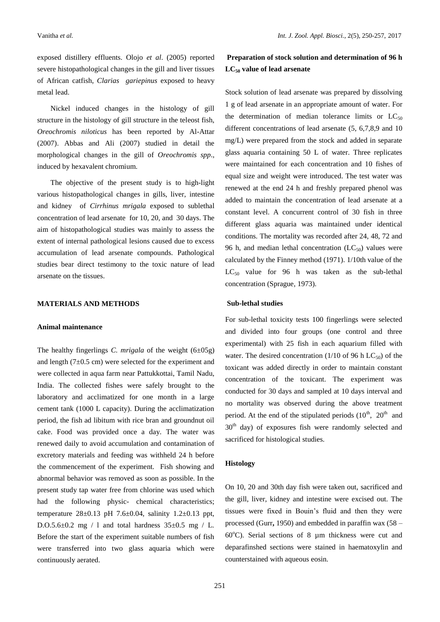exposed distillery effluents. Olojo *et al*. (2005) reported severe histopathological changes in the gill and liver tissues of African catfish, *Clarias gariepinus* exposed to heavy metal lead.

Nickel induced changes in the histology of gill structure in the histology of gill structure in the teleost fish, *Oreochromis niloticus* has been reported by Al-Attar (2007). Abbas and Ali (2007) studied in detail the morphological changes in the gill of *Oreochromis spp*., induced by hexavalent chromium.

The objective of the present study is to high-light various histopathological changes in gills, liver, intestine and kidney of *Cirrhinus mrigala* exposed to sublethal concentration of lead arsenate for 10, 20, and 30 days. The aim of histopathological studies was mainly to assess the extent of internal pathological lesions caused due to excess accumulation of lead arsenate compounds. Pathological studies bear direct testimony to the toxic nature of lead arsenate on the tissues.

#### **MATERIALS AND METHODS**

### **Animal maintenance**

The healthy fingerlings *C. mrigala* of the weight (6±05g) and length (7±0.5 cm) were selected for the experiment and were collected in aqua farm near Pattukkottai, Tamil Nadu, India. The collected fishes were safely brought to the laboratory and acclimatized for one month in a large cement tank (1000 L capacity). During the acclimatization period, the fish ad libitum with rice bran and groundnut oil cake. Food was provided once a day. The water was renewed daily to avoid accumulation and contamination of excretory materials and feeding was withheld 24 h before the commencement of the experiment. Fish showing and abnormal behavior was removed as soon as possible. In the present study tap water free from chlorine was used which had the following physic- chemical characteristics; temperature  $28 \pm 0.13$  pH 7.6 $\pm$ 0.04, salinity 1.2 $\pm$ 0.13 ppt, D.O.5.6 $\pm$ 0.2 mg / 1 and total hardness 35 $\pm$ 0.5 mg / L. Before the start of the experiment suitable numbers of fish were transferred into two glass aquaria which were continuously aerated.

# **Preparation of stock solution and determination of 96 h LC<sup>50</sup> value of lead arsenate**

Stock solution of lead arsenate was prepared by dissolving 1 g of lead arsenate in an appropriate amount of water. For the determination of median tolerance limits or  $LC_{50}$ different concentrations of lead arsenate (5, 6,7,8,9 and 10 mg/L) were prepared from the stock and added in separate glass aquaria containing 50 L of water. Three replicates were maintained for each concentration and 10 fishes of equal size and weight were introduced. The test water was renewed at the end 24 h and freshly prepared phenol was added to maintain the concentration of lead arsenate at a constant level. A concurrent control of 30 fish in three different glass aquaria was maintained under identical conditions. The mortality was recorded after 24, 48, 72 and 96 h, and median lethal concentration  $(LC_{50})$  values were calculated by the Finney method (1971). 1/10th value of the  $LC_{50}$  value for 96 h was taken as the sub-lethal concentration (Sprague, 1973).

### **Sub-lethal studies**

For sub-lethal toxicity tests 100 fingerlings were selected and divided into four groups (one control and three experimental) with 25 fish in each aquarium filled with water. The desired concentration (1/10 of 96 h  $LC_{50}$ ) of the toxicant was added directly in order to maintain constant concentration of the toxicant. The experiment was conducted for 30 days and sampled at 10 days interval and no mortality was observed during the above treatment period. At the end of the stipulated periods  $(10^{th}, 20^{th})$  and 30<sup>th</sup> day) of exposures fish were randomly selected and sacrificed for histological studies.

#### **Histology**

On 10, 20 and 30th day fish were taken out, sacrificed and the gill, liver, kidney and intestine were excised out. The tissues were fixed in Bouin's fluid and then they were processed (Gurr**,** 1950) and embedded in paraffin wax (58 – 60 $^{\circ}$ C). Serial sections of 8  $\mu$ m thickness were cut and deparafinshed sections were stained in haematoxylin and counterstained with aqueous eosin.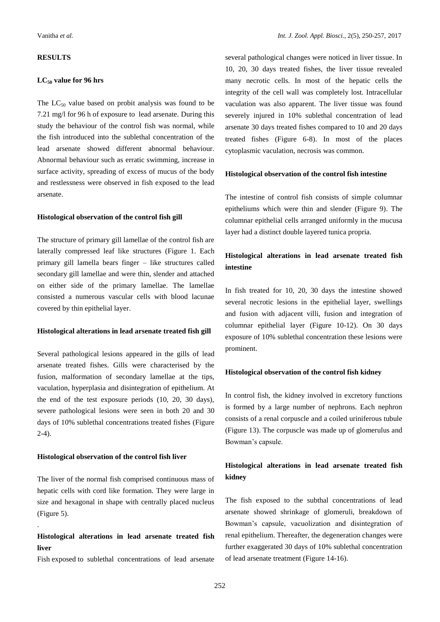# **RESULTS**

#### **LC<sup>50</sup> value for 96 hrs**

The  $LC_{50}$  value based on probit analysis was found to be 7.21 mg/l for 96 h of exposure to lead arsenate. During this study the behaviour of the control fish was normal, while the fish introduced into the sublethal concentration of the lead arsenate showed different abnormal behaviour. Abnormal behaviour such as erratic swimming, increase in surface activity, spreading of excess of mucus of the body and restlessness were observed in fish exposed to the lead arsenate.

#### **Histological observation of the control fish gill**

The structure of primary gill lamellae of the control fish are laterally compressed leaf like structures (Figure 1. Each primary gill lamella bears finger – like structures called secondary gill lamellae and were thin, slender and attached on either side of the primary lamellae. The lamellae consisted a numerous vascular cells with blood lacunae covered by thin epithelial layer.

#### **Histological alterations in lead arsenate treated fish gill**

Several pathological lesions appeared in the gills of lead arsenate treated fishes. Gills were characterised by the fusion, malformation of secondary lamellae at the tips, vaculation, hyperplasia and disintegration of epithelium. At the end of the test exposure periods (10, 20, 30 days), severe pathological lesions were seen in both 20 and 30 days of 10% sublethal concentrations treated fishes (Figure 2-4).

### **Histological observation of the control fish liver**

.

The liver of the normal fish comprised continuous mass of hepatic cells with cord like formation. They were large in size and hexagonal in shape with centrally placed nucleus (Figure 5).

# **Histological alterations in lead arsenate treated fish liver**

Fish exposed to sublethal concentrations of lead arsenate

several pathological changes were noticed in liver tissue. In 10, 20, 30 days treated fishes, the liver tissue revealed many necrotic cells. In most of the hepatic cells the integrity of the cell wall was completely lost. Intracellular vaculation was also apparent. The liver tissue was found severely injured in 10% sublethal concentration of lead arsenate 30 days treated fishes compared to 10 and 20 days treated fishes (Figure 6-8). In most of the places cytoplasmic vaculation, necrosis was common.

### **Histological observation of the control fish intestine**

The intestine of control fish consists of simple columnar epitheliums which were thin and slender (Figure 9). The columnar epithelial cells arranged uniformly in the mucusa layer had a distinct double layered tunica propria.

# **Histological alterations in lead arsenate treated fish intestine**

In fish treated for 10, 20, 30 days the intestine showed several necrotic lesions in the epithelial layer, swellings and fusion with adjacent villi, fusion and integration of columnar epithelial layer (Figure 10-12). On 30 days exposure of 10% sublethal concentration these lesions were prominent.

#### **Histological observation of the control fish kidney**

In control fish, the kidney involved in excretory functions is formed by a large number of nephrons. Each nephron consists of a renal corpuscle and a coiled uriniferous tubule (Figure 13). The corpuscle was made up of glomerulus and Bowman's capsule.

# **Histological alterations in lead arsenate treated fish kidney**

The fish exposed to the subthal concentrations of lead arsenate showed shrinkage of glomeruli, breakdown of Bowman's capsule, vacuolization and disintegration of renal epithelium. Thereafter, the degeneration changes were further exaggerated 30 days of 10% sublethal concentration of lead arsenate treatment (Figure 14-16).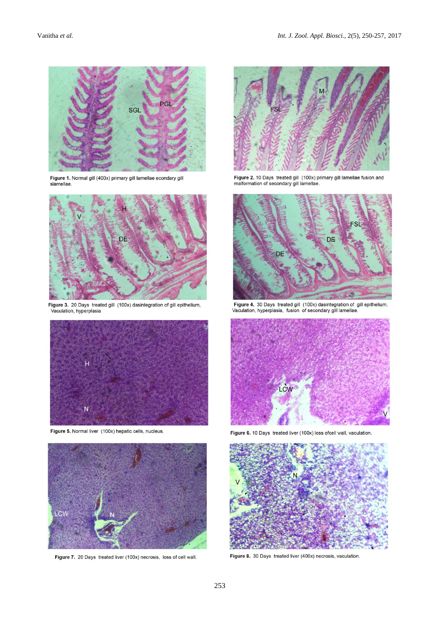

Figure 1. Normal gill (400x) primary gill lamellae econdary gill<br>slamellae.



Figure 3. 20 Days treated gill (100x) dasintegration of gill epithelium, Vaculation, hyperplasia



Figure 5. Normal liver (100x) hepatic cells, nucleus.



Figure 7. 20 Days treated liver (100x) necrosis, loss of cell wall.



Figure 2. 10 Days treated gill (100x) primary gill lamellae fusion and<br>malformation of secondary gill lamellae.



Figure 4. 30 Days treated gill (100x) dasintegration of gill epithelium, Vaculation, hyperplasia, fusion of secondary gill lamellae.



Figure 6. 10 Days treated liver (100x) loss ofcell wall, vaculation.



Figure 8. 30 Days treated liver (400x) necrosis, vaculation.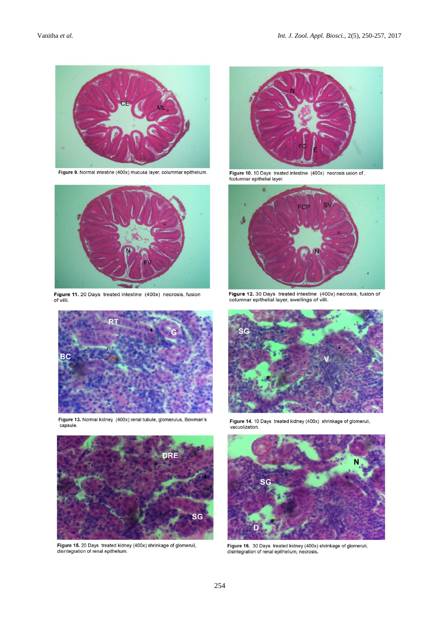

Figure 9. Normal intestine (400x) mucusa layer, colummar epithelium.



Figure 11. 20 Days treated intestine (400x) necrosis, fusion of villi.



Figure 13. Normal kidney (400x) renal tubule, glomerulus, Bowman's capsule



Figure 15. 20 Days treated kidney (400x) shrinkage of glomeruli, disintegration of renal epithelium.



Figure 10. 10 Days treated intestine (400x) necrosis usion of,<br>fcolumnar epithelial layer.



Figure 12. 30 Days treated intestine (400x) necrosis, fusion of columnar epithelial layer, swellings of villi.



Figure 14. 10 Days treated kidney (400x) shrinkage of glomeruli, vacuolization.



Figure 16. 30 Days treated kidney (400x) shrinkage of glomeruli, disintegration of renal epithelium, necrosis.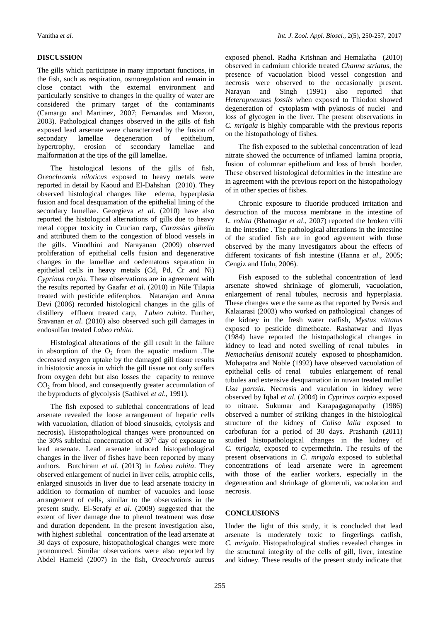### **DISCUSSION**

The gills which participate in many important functions, in the fish, such as respiration, osmoregulation and remain in close contact with the external environment and particularly sensitive to changes in the quality of water are considered the primary target of the contaminants (Camargo and Martinez, 2007; Fernandas and Mazon, 2003). Pathological changes observed in the gills of fish exposed lead arsenate were characterized by the fusion of secondary lamellae degeneration of epithelium, hypertrophy, erosion of secondary lamellae and malformation at the tips of the gill lamellae**.**

The histological lesions of the gills of fish, *Oreochromis niloticus* exposed to heavy metals were reported in detail by Kaoud and El-Dahshan (2010). They observed histological changes like edema, hyperplasia fusion and focal desquamation of the epithelial lining of the secondary lamellae. Georgieva *et al.* (2010) have also reported the histological alternations of gills due to heavy metal copper toxicity in Crucian carp, *Carassius gibelio* and attributed them to the congestion of blood vessels in the gills. Vinodhini and Narayanan (2009) observed proliferation of epithelial cells fusion and degenerative changes in the lamellae and oedematous separation in epithelial cells in heavy metals (Cd, Pd, Cr and Ni) *Cyprinus carpio*. These observations are in agreement with the results reported by Gaafar *et al*. (2010) in Nile Tilapia treated with pesticide edifenphos. Natarajan and Aruna Devi (2006) recorded histological changes in the gills of distillery effluent treated carp, *Labeo rohita*. Further, Sravanan *et al*. (2010) also observed such gill damages in endosulfan treated *Labeo rohita*.

Histological alterations of the gill result in the failure in absorption of the  $O_2$  from the aquatic medium .The decreased oxygen uptake by the damaged gill tissue results in histotoxic anoxia in which the gill tissue not only suffers from oxygen debt but also losses the capacity to remove  $CO<sub>2</sub>$  from blood, and consequently greater accumulation of the byproducts of glycolysis (Sathivel *et al*., 1991).

The fish exposed to sublethal concentrations of lead arsenate revealed the loose arrangement of hepatic cells with vacuolation, dilation of blood sinusoids, cytolysis and necrosis)**.** Histopathological changes were pronounced on the 30% sublethal concentration of  $30<sup>th</sup>$  day of exposure to lead arsenate. Lead arsenate induced histopathological changes in the liver of fishes have been reported by many authors. Butchiram *et al.* (2013) in *Labeo rohita*. They observed enlargement of nuclei in liver cells, atrophic cells, enlarged sinusoids in liver due to lead arsenate toxicity in addition to formation of number of vacuoles and loose arrangement of cells, similar to the observations in the present study. El-Serafy *et al*. (2009) suggested that the extent of liver damage due to phenol treatment was dose and duration dependent. In the present investigation also, with highest sublethal concentration of the lead arsenate at 30 days of exposure, histopathological changes were more pronounced. Similar observations were also reported by Abdel Hameid (2007) in the fish, *Oreochromis* aureus exposed phenol. Radha Krishnan and Hemalatha (2010) observed in cadmium chloride treated *Channa striatus,* the presence of vacuolation blood vessel congestion and necrosis were observed to the occasionally present. Narayan and Singh (1991) also reported that *Heteropneustes fossils* when exposed to Thiodon showed degeneration of cytoplasm with pyknosis of nuclei and loss of glycogen in the liver. The present observations in *C. mrigala* is highly comparable with the previous reports on the histopathology of fishes.

The fish exposed to the sublethal concentration of lead nitrate showed the occurrence of inflamed lamina propria, fusion of columnar epithelium and loss of brush border. These observed histological deformities in the intestine are in agreement with the previous report on the histopathology of in other species of fishes.

Chronic exposure to fluoride produced irritation and destruction of the mucosa membrane in the intestine of *L. rohita* (Bhatnagar *et al*., 2007) reported the broken villi in the intestine . The pathological alterations in the intestine of the studied fish are in good agreement with those observed by the many investigators about the effects of different toxicants of fish intestine (Hanna *et al*., 2005; Cengiz and Unlu, 2006).

Fish exposed to the sublethal concentration of lead arsenate showed shrinkage of glomeruli, vacuolation, enlargement of renal tubules, necrosis and hyperplasia. These changes were the same as that reported by Persis and Kalaiarasi (2003) who worked on pathological changes of the kidney in the fresh water catfish, *Mystus vittatus* exposed to pesticide dimethoate. Rashatwar and Ilyas (1984) have reported the histopathological changes in kidney to lead and noted swelling of renal tubules in *Nemacheilus denisonii* acutely exposed to phosphamidon. Mohapatra and Noble (1992) have observed vacuolation of epithelial cells of renal tubules enlargement of renal tubules and extensive desquamation in nuvan treated mullet *Liza partsia*. Necrosis and vaculation in kidney were observed by Iqbal *et al*. (2004) in *Cyprinus carpio* exposed to nitrate. Sukumar and Karapagaganapathy (1986) observed a number of striking changes in the histological structure of the kidney of *Colisa lalia* exposed to carbofuran for a period of 30 days. Prashanth (2011) studied histopathological changes in the kidney of *C. mrigala*, exposed to cypermethrin. The results of the present observations in *C. mrigala* exposed to sublethal concentrations of lead arsenate were in agreement with those of the earlier workers, especially in the degeneration and shrinkage of glomeruli, vacuolation and necrosis.

# **CONCLUSIONS**

Under the light of this study, it is concluded that lead arsenate is moderately toxic to fingerlings catfish, *C. mrigala*. Histopathological studies revealed changes in the structural integrity of the cells of gill, liver, intestine and kidney. These results of the present study indicate that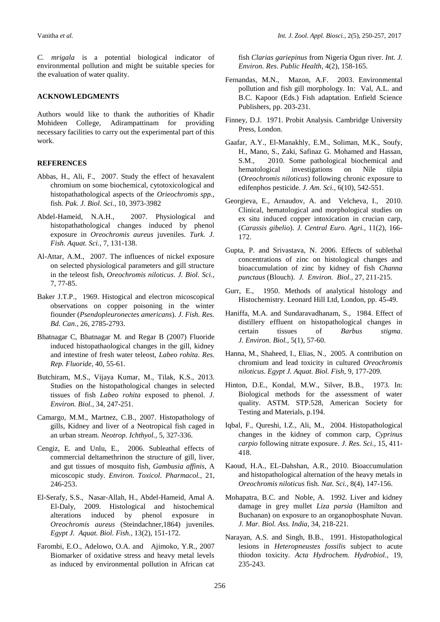*C. mrigala* is a potential biological indicator of environmental pollution and might be suitable species for the evaluation of water quality.

#### **ACKNOWLEDGMENTS**

Authors would like to thank the authorities of Khadir Mohideen College, Adirampattinam for providing necessary facilities to carry out the experimental part of this work.

#### **REFERENCES**

- Abbas, H., Ali, F., 2007. Study the effect of hexavalent chromium on some biochemical, cytotoxicological and histopathathological aspects of the *Orieochromis spp.,* fish. *Pak*. *J. Biol. Sci.,* 10, 3973-3982
- Abdel-Hameid, N.A.H., 2007. Physiological and histopathathological changes induced by phenol exposure in *Oreochromis aureus* juveniles. *Turk. J. Fish. Aquat. Sci.,* 7, 131-138.
- Al-Attar, A.M., 2007. The influences of nickel exposure on selected physiological parameters and gill structure in the teleost fish, *Oreochromis niloticus*. *J. Biol. Sci.*, 7, 77-85.
- Baker J.T.P., 1969. Histogical and electron micoscopical observations on copper poisoning in the winter fiounder (*Psendopleuronectes americans*). *J. Fish. Res. Bd. Can.,* 26, 2785-2793.
- Bhatnagar C, Bhatnagar M. and Regar B (2007) Fluoride induced histopathaological changes in the gill, kidney and intestine of fresh water teleost, *Labeo rohita*. *Res. Rep. Fluoride,* 40, 55-61.
- Butchiram, M.S., Vijaya Kumar, M., Tilak, K.S., 2013. Studies on the histopathological changes in selected tissues of fish *Labeo rohita* exposed to phenol. *J. Environ. Biol.,* 34, 247-251.
- Camargo, M.M., Martnez, C.B., 2007. Histopathology of gills, Kidney and liver of a Neotropical fish caged in an urban stream. *Neotrop. Ichthyol.,* 5, 327-336.
- Cengiz, E. and Unlu, E., 2006. Subleathal effects of commercial deltamethrinon the structure of gill, liver, and gut tissues of mosquito fish, *Gambusia affinis*, A micoscopic study. *Environ. Toxicol. Pharmacol.,* 21, 246-253.
- El-Serafy, S.S., Nasar-Allah, H., Abdel-Hameid, Amal A. El-Daly, 2009. Histological and histochemical alterations induced by phenol exposure in *Oreochromis aureus* (Steindachner,1864) juveniles. *Egypt J. Aquat. Biol. Fish.,* 13(2), 151-172.
- Farombi, E.O., Adelowo, O.A. and Ajimoko, Y.R., 2007 Biomarker of oxidative stress and heavy metal levels as induced by environmental pollution in African cat

fish *Clarias gariepinus* from Nigeria Ogun river. *Int. J. Environ. Res. Public Health,* 4(2), 158-165.

- Fernandas, M.N., Mazon, A.F. 2003. Environmental pollution and fish gill morphology. In: Val, A.L. and B.C. Kapoor (Eds.) Fish adaptation. Enfield Science Publishers, pp. 203-231.
- Finney, D.J. 1971. Probit Analysis. Cambridge University Press, London.
- Gaafar, A.Y., El-Manakhly, E.M., Soliman, M.K., Soufy, H., Mano, S., Zaki, Safinaz G. Mohamed and Hassan, S.M., 2010. Some pathological biochemical and hematological investigations on Nile tilpia (*Oreochromis niloticus*) following chronic exposure to edifenphos pesticide. *J. Am. Sci.,* 6(10), 542-551.
- Georgieva, E., Arnaudov, A. and Velcheva, I., 2010. Clinical, hematological and morphological studies on ex situ induced copper intoxication in crucian carp, (*Carassis gibelio*). *J. Central Euro. Agri.,* 11(2), 166- 172.
- Gupta, P. and Srivastava, N. 2006. Effects of sublethal concentrations of zinc on histological changes and bioaccumulation of zinc by kidney of fish *Channa punctaus* (Blouch). *J. Environ. Biol.,* 27, 211-215.
- Gurr, E., 1950. Methods of analytical histology and Histochemistry. Leonard Hill Ltd, London, pp. 45-49.
- Haniffa, M.A. and Sundaravadhanam, S., 1984. Effect of distillery effluent on histopathological changes in certain tissues of *Barbus stigma*. *J. Environ. Biol.,* 5(1), 57-60.
- Hanna, M., Shaheed, I., Elias, N., 2005. A contribution on chromium and lead toxicity in cultured *Oreochromis niloticus*. *Egypt J. Aquat. Biol. Fish,* 9, 177-209.
- Hinton, D.E., Kondal, M.W., Silver, B.B., 1973. In: Biological methods for the assessment of water quality. ASTM. STP.528, American Society for Testing and Materials, p.194.
- Iqbal, F., Qureshi, I.Z., Ali, M., 2004. Histopathological changes in the kidney of common carp, *Cyprinus carpio* following nitrate exposure. *J. Res. Sci.,* 15, 411- 418.
- Kaoud, H.A., EL-Dahshan, A.R., 2010. Bioaccumulation and histopathological alternation of the heavy metals in *Oreochromis niloticus* fish. *Nat. Sci.,* 8(4), 147-156.
- Mohapatra, B.C. and Noble, A. 1992. Liver and kidney damage in grey mullet *Liza parsia* (Hamilton and Buchanan) on exposure to an organophosphate Nuvan. *J. Mar. Biol. Ass. India,* 34, 218-221*.*
- Narayan, A.S. and Singh, B.B., 1991. Histopathological lesions in *Heteropneustes fossilis* subject to acute thiodon toxicity. *Acta Hydrochem. Hydrobiol.,* 19, 235-243.